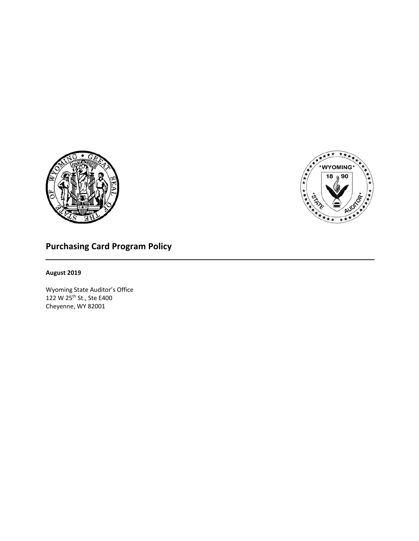



# **Purchasing Card Program Policy**

## **August 2019**

Wyoming State Auditor's Office 122 W 25th St., Ste E400 Cheyenne, WY 82001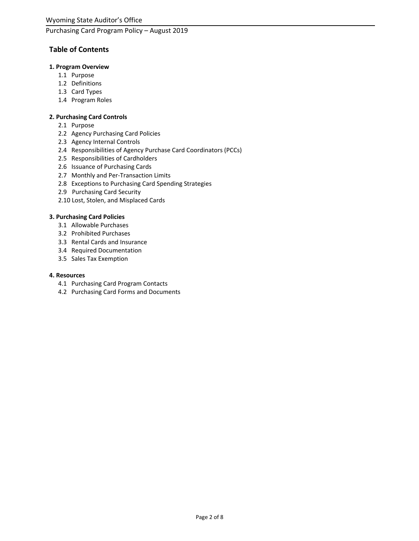## **Table of Contents**

#### **1. Program Overview**

- 1.1 Purpose
- 1.2 Definitions
- 1.3 Card Types
- 1.4 Program Roles

## **2. Purchasing Card Controls**

- 2.1 Purpose
- 2.2 Agency Purchasing Card Policies
- 2.3 Agency Internal Controls
- 2.4 Responsibilities of Agency Purchase Card Coordinators (PCCs)
- 2.5 Responsibilities of Cardholders
- 2.6 Issuance of Purchasing Cards
- 2.7 Monthly and Per-Transaction Limits
- 2.8 Exceptions to Purchasing Card Spending Strategies
- 2.9 Purchasing Card Security
- 2.10 Lost, Stolen, and Misplaced Cards

### **3. Purchasing Card Policies**

- 3.1 Allowable Purchases
- 3.2 Prohibited Purchases
- 3.3 Rental Cards and Insurance
- 3.4 Required Documentation
- 3.5 Sales Tax Exemption

#### **4. Resources**

- 4.1 Purchasing Card Program Contacts
- 4.2 Purchasing Card Forms and Documents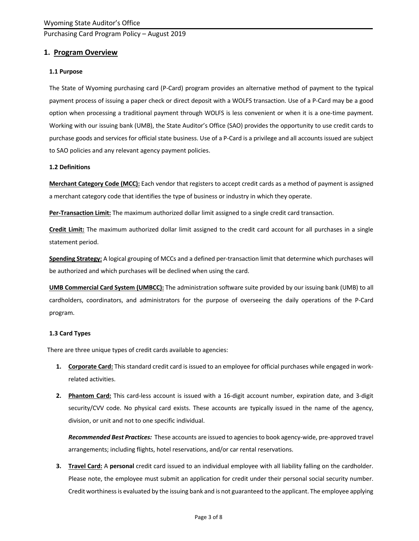## **1. Program Overview**

#### **1.1 Purpose**

The State of Wyoming purchasing card (P-Card) program provides an alternative method of payment to the typical payment process of issuing a paper check or direct deposit with a WOLFS transaction. Use of a P-Card may be a good option when processing a traditional payment through WOLFS is less convenient or when it is a one-time payment. Working with our issuing bank (UMB), the State Auditor's Office (SAO) provides the opportunity to use credit cards to purchase goods and services for official state business. Use of a P-Card is a privilege and all accounts issued are subject to SAO policies and any relevant agency payment policies.

#### **1.2 Definitions**

**Merchant Category Code (MCC):** Each vendor that registers to accept credit cards as a method of payment is assigned a merchant category code that identifies the type of business or industry in which they operate.

**Per-Transaction Limit:** The maximum authorized dollar limit assigned to a single credit card transaction.

**Credit Limit:** The maximum authorized dollar limit assigned to the credit card account for all purchases in a single statement period.

**Spending Strategy:** A logical grouping of MCCs and a defined per-transaction limit that determine which purchases will be authorized and which purchases will be declined when using the card.

**UMB Commercial Card System (UMBCC):** The administration software suite provided by our issuing bank (UMB) to all cardholders, coordinators, and administrators for the purpose of overseeing the daily operations of the P-Card program.

#### **1.3 Card Types**

There are three unique types of credit cards available to agencies:

- **1. Corporate Card:** This standard credit card is issued to an employee for official purchases while engaged in workrelated activities.
- **2. Phantom Card:** This card-less account is issued with a 16-digit account number, expiration date, and 3-digit security/CVV code. No physical card exists. These accounts are typically issued in the name of the agency, division, or unit and not to one specific individual.

*Recommended Best Practices:* These accounts are issued to agencies to book agency-wide, pre-approved travel arrangements; including flights, hotel reservations, and/or car rental reservations.

**3. Travel Card:** A **personal** credit card issued to an individual employee with all liability falling on the cardholder. Please note, the employee must submit an application for credit under their personal social security number. Credit worthiness is evaluated by the issuing bank and is not guaranteed to the applicant. The employee applying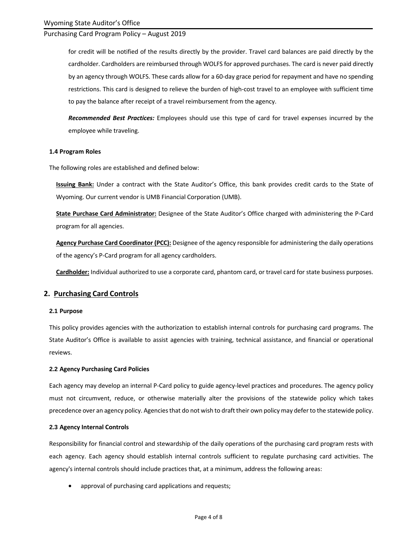for credit will be notified of the results directly by the provider. Travel card balances are paid directly by the cardholder. Cardholders are reimbursed through WOLFS for approved purchases. The card is never paid directly by an agency through WOLFS. These cards allow for a 60-day grace period for repayment and have no spending restrictions. This card is designed to relieve the burden of high-cost travel to an employee with sufficient time to pay the balance after receipt of a travel reimbursement from the agency.

*Recommended Best Practices:* Employees should use this type of card for travel expenses incurred by the employee while traveling.

#### **1.4 Program Roles**

The following roles are established and defined below:

**Issuing Bank:** Under a contract with the State Auditor's Office, this bank provides credit cards to the State of Wyoming. Our current vendor is UMB Financial Corporation (UMB).

**State Purchase Card Administrator:** Designee of the State Auditor's Office charged with administering the P-Card program for all agencies.

**Agency Purchase Card Coordinator (PCC):** Designee of the agency responsible for administering the daily operations of the agency's P-Card program for all agency cardholders.

**Cardholder:** Individual authorized to use a corporate card, phantom card, or travel card for state business purposes.

#### **2. Purchasing Card Controls**

#### **2.1 Purpose**

This policy provides agencies with the authorization to establish internal controls for purchasing card programs. The State Auditor's Office is available to assist agencies with training, technical assistance, and financial or operational reviews.

#### **2.2 Agency Purchasing Card Policies**

Each agency may develop an internal P-Card policy to guide agency-level practices and procedures. The agency policy must not circumvent, reduce, or otherwise materially alter the provisions of the statewide policy which takes precedence over an agency policy. Agencies that do not wish to draft their own policy may defer to the statewide policy.

#### **2.3 Agency Internal Controls**

Responsibility for financial control and stewardship of the daily operations of the purchasing card program rests with each agency. Each agency should establish internal controls sufficient to regulate purchasing card activities. The agency's internal controls should include practices that, at a minimum, address the following areas:

• approval of purchasing card applications and requests;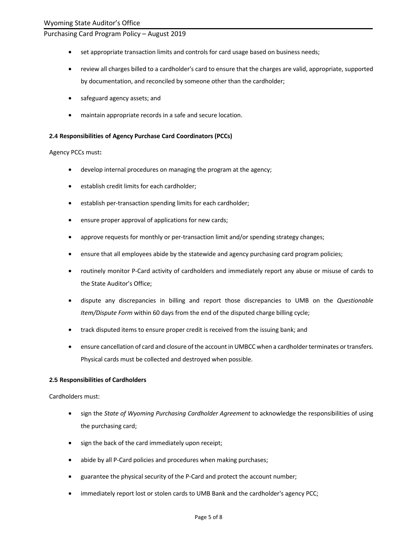- set appropriate transaction limits and controls for card usage based on business needs;
- review all charges billed to a cardholder's card to ensure that the charges are valid, appropriate, supported by documentation, and reconciled by someone other than the cardholder;
- safeguard agency assets; and
- maintain appropriate records in a safe and secure location.

#### **2.4 Responsibilities of Agency Purchase Card Coordinators (PCCs)**

#### Agency PCCs must**:**

- develop internal procedures on managing the program at the agency;
- establish credit limits for each cardholder;
- establish per-transaction spending limits for each cardholder;
- ensure proper approval of applications for new cards;
- approve requests for monthly or per-transaction limit and/or spending strategy changes;
- ensure that all employees abide by the statewide and agency purchasing card program policies;
- routinely monitor P-Card activity of cardholders and immediately report any abuse or misuse of cards to the State Auditor's Office;
- dispute any discrepancies in billing and report those discrepancies to UMB on the *Questionable Item/Dispute Form* within 60 days from the end of the disputed charge billing cycle;
- track disputed items to ensure proper credit is received from the issuing bank; and
- ensure cancellation of card and closure of the account in UMBCC when a cardholder terminates or transfers. Physical cards must be collected and destroyed when possible.

#### **2.5 Responsibilities of Cardholders**

Cardholders must:

- sign the *State of Wyoming Purchasing Cardholder Agreement* to acknowledge the responsibilities of using the purchasing card;
- sign the back of the card immediately upon receipt;
- abide by all P-Card policies and procedures when making purchases;
- guarantee the physical security of the P-Card and protect the account number;
- immediately report lost or stolen cards to UMB Bank and the cardholder's agency PCC;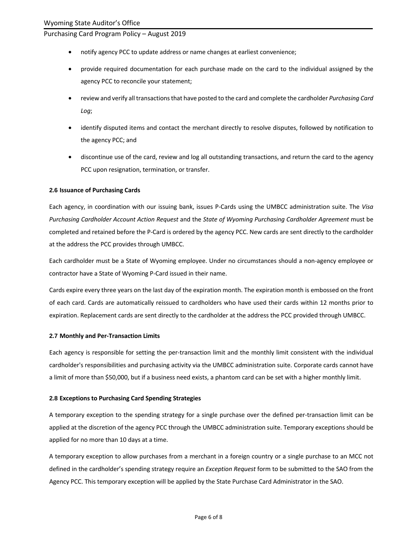- notify agency PCC to update address or name changes at earliest convenience;
- provide required documentation for each purchase made on the card to the individual assigned by the agency PCC to reconcile your statement;
- review and verify all transactions that have posted to the card and complete the cardholder *Purchasing Card Log*;
- identify disputed items and contact the merchant directly to resolve disputes, followed by notification to the agency PCC; and
- discontinue use of the card, review and log all outstanding transactions, and return the card to the agency PCC upon resignation, termination, or transfer.

#### **2.6 Issuance of Purchasing Cards**

Each agency, in coordination with our issuing bank, issues P-Cards using the UMBCC administration suite. The *Visa Purchasing Cardholder Account Action Request* and the *State of Wyoming Purchasing Cardholder Agreement* must be completed and retained before the P-Card is ordered by the agency PCC. New cards are sent directly to the cardholder at the address the PCC provides through UMBCC.

Each cardholder must be a State of Wyoming employee. Under no circumstances should a non-agency employee or contractor have a State of Wyoming P-Card issued in their name.

Cards expire every three years on the last day of the expiration month. The expiration month is embossed on the front of each card. Cards are automatically reissued to cardholders who have used their cards within 12 months prior to expiration. Replacement cards are sent directly to the cardholder at the address the PCC provided through UMBCC.

#### **2.7 Monthly and Per-Transaction Limits**

Each agency is responsible for setting the per-transaction limit and the monthly limit consistent with the individual cardholder's responsibilities and purchasing activity via the UMBCC administration suite. Corporate cards cannot have a limit of more than \$50,000, but if a business need exists, a phantom card can be set with a higher monthly limit.

#### **2.8 Exceptions to Purchasing Card Spending Strategies**

A temporary exception to the spending strategy for a single purchase over the defined per-transaction limit can be applied at the discretion of the agency PCC through the UMBCC administration suite. Temporary exceptions should be applied for no more than 10 days at a time.

A temporary exception to allow purchases from a merchant in a foreign country or a single purchase to an MCC not defined in the cardholder's spending strategy require an *Exception Request* form to be submitted to the SAO from the Agency PCC. This temporary exception will be applied by the State Purchase Card Administrator in the SAO.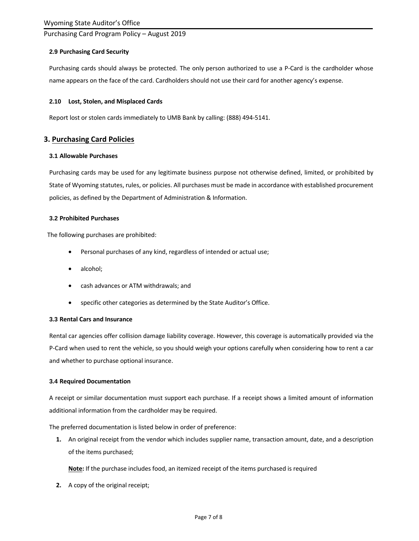#### **2.9 Purchasing Card Security**

Purchasing cards should always be protected. The only person authorized to use a P-Card is the cardholder whose name appears on the face of the card. Cardholders should not use their card for another agency's expense.

#### **2.10 Lost, Stolen, and Misplaced Cards**

Report lost or stolen cards immediately to UMB Bank by calling: (888) 494-5141.

## **3. Purchasing Card Policies**

#### **3.1 Allowable Purchases**

Purchasing cards may be used for any legitimate business purpose not otherwise defined, limited, or prohibited by State of Wyoming statutes, rules, or policies. All purchases must be made in accordance with established procurement policies, as defined by the Department of Administration & Information.

#### **3.2 Prohibited Purchases**

The following purchases are prohibited:

- Personal purchases of any kind, regardless of intended or actual use;
- alcohol;
- cash advances or ATM withdrawals; and
- specific other categories as determined by the State Auditor's Office.

#### **3.3 Rental Cars and Insurance**

Rental car agencies offer collision damage liability coverage. However, this coverage is automatically provided via the P-Card when used to rent the vehicle, so you should weigh your options carefully when considering how to rent a car and whether to purchase optional insurance.

#### **3.4 Required Documentation**

A receipt or similar documentation must support each purchase. If a receipt shows a limited amount of information additional information from the cardholder may be required.

The preferred documentation is listed below in order of preference:

**1.** An original receipt from the vendor which includes supplier name, transaction amount, date, and a description of the items purchased;

**Note:** If the purchase includes food, an itemized receipt of the items purchased is required

**2.** A copy of the original receipt;